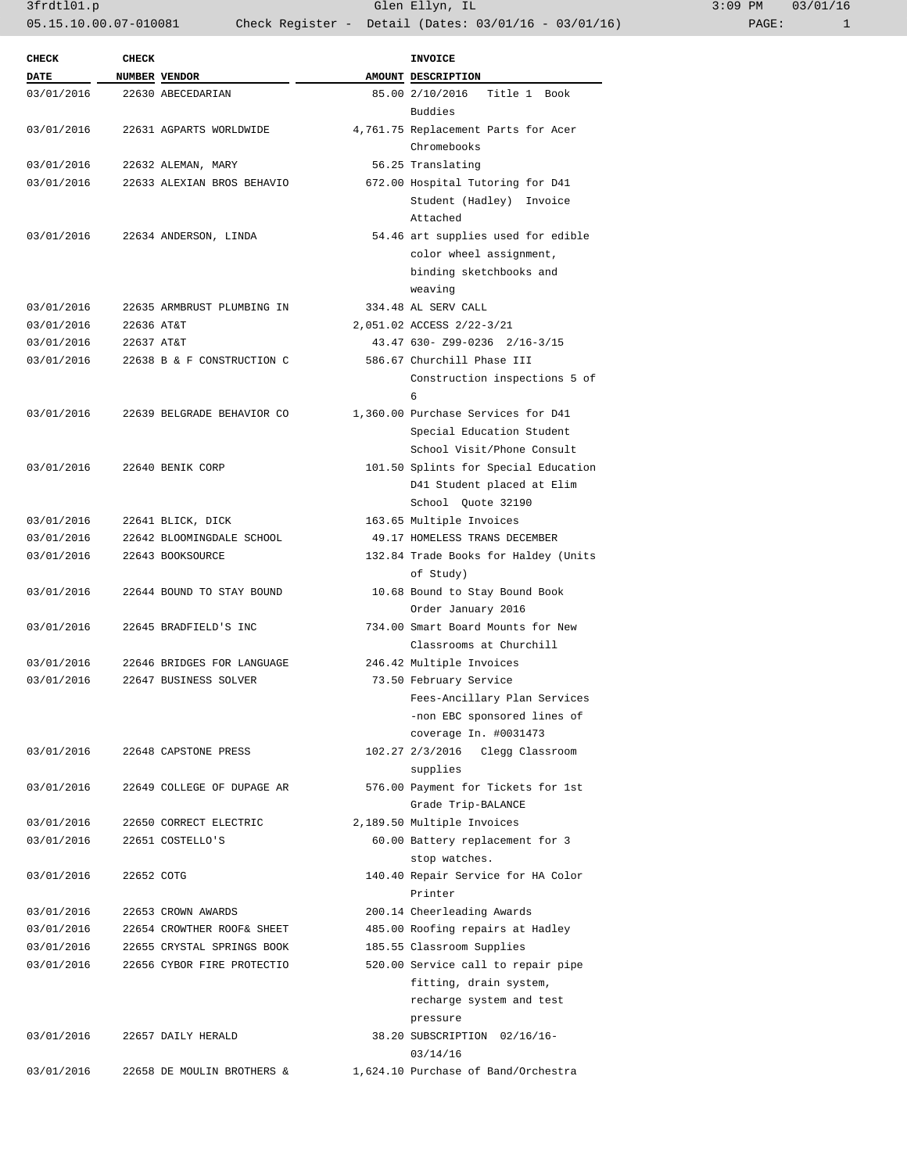3frdtl01.p Glen Ellyn, IL 3:09 PM 03/01/16 05.15.10.00.07-010081 Check Register - Detail (Dates: 03/01/16 - 03/01/16)

| <b>CHECK</b> | <b>CHECK</b> |                            | <b>INVOICE</b>                             |
|--------------|--------------|----------------------------|--------------------------------------------|
| <b>DATE</b>  |              | NUMBER VENDOR              | AMOUNT DESCRIPTION                         |
| 03/01/2016   |              | 22630 ABECEDARIAN          | 85.00 2/10/2016<br>Title 1 Book<br>Buddies |
| 03/01/2016   |              | 22631 AGPARTS WORLDWIDE    | 4,761.75 Replacement Parts for Acer        |
|              |              |                            | Chromebooks                                |
| 03/01/2016   |              |                            | 56.25 Translating                          |
|              |              | 22632 ALEMAN, MARY         |                                            |
| 03/01/2016   |              | 22633 ALEXIAN BROS BEHAVIO | 672.00 Hospital Tutoring for D41           |
|              |              |                            | Student (Hadley) Invoice                   |
|              |              |                            | Attached                                   |
| 03/01/2016   |              | 22634 ANDERSON, LINDA      | 54.46 art supplies used for edible         |
|              |              |                            | color wheel assignment,                    |
|              |              |                            | binding sketchbooks and                    |
|              |              |                            | weaving                                    |
| 03/01/2016   |              | 22635 ARMBRUST PLUMBING IN | 334.48 AL SERV CALL                        |
| 03/01/2016   | 22636 AT&T   |                            | 2,051.02 ACCESS 2/22-3/21                  |
| 03/01/2016   | 22637 AT&T   |                            | 43.47 630- Z99-0236 2/16-3/15              |
| 03/01/2016   |              | 22638 B & F CONSTRUCTION C | 586.67 Churchill Phase III                 |
|              |              |                            | Construction inspections 5 of              |
|              |              |                            | 6                                          |
| 03/01/2016   |              | 22639 BELGRADE BEHAVIOR CO | 1,360.00 Purchase Services for D41         |
|              |              |                            | Special Education Student                  |
|              |              |                            | School Visit/Phone Consult                 |
| 03/01/2016   |              | 22640 BENIK CORP           | 101.50 Splints for Special Education       |
|              |              |                            | D41 Student placed at Elim                 |
|              |              |                            | School Quote 32190                         |
| 03/01/2016   |              | 22641 BLICK, DICK          | 163.65 Multiple Invoices                   |
| 03/01/2016   |              | 22642 BLOOMINGDALE SCHOOL  | 49.17 HOMELESS TRANS DECEMBER              |
| 03/01/2016   |              | 22643 BOOKSOURCE           | 132.84 Trade Books for Haldey (Units       |
|              |              |                            | of Study)                                  |
| 03/01/2016   |              | 22644 BOUND TO STAY BOUND  | 10.68 Bound to Stay Bound Book             |
|              |              |                            | Order January 2016                         |
| 03/01/2016   |              | 22645 BRADFIELD'S INC      | 734.00 Smart Board Mounts for New          |
|              |              |                            | Classrooms at Churchill                    |
| 03/01/2016   |              | 22646 BRIDGES FOR LANGUAGE | 246.42 Multiple Invoices                   |
| 03/01/2016   |              | 22647 BUSINESS SOLVER      | 73.50 February Service                     |
|              |              |                            | Fees-Ancillary Plan Services               |
|              |              |                            |                                            |
|              |              |                            | -non EBC sponsored lines of                |
|              |              |                            | coverage In. #0031473                      |
| 03/01/2016   |              | 22648 CAPSTONE PRESS       | 102.27 2/3/2016 Clegg Classroom            |
|              |              |                            | supplies                                   |
| 03/01/2016   |              | 22649 COLLEGE OF DUPAGE AR | 576.00 Payment for Tickets for 1st         |
|              |              |                            | Grade Trip-BALANCE                         |
| 03/01/2016   |              | 22650 CORRECT ELECTRIC     | 2,189.50 Multiple Invoices                 |
| 03/01/2016   |              | 22651 COSTELLO'S           | 60.00 Battery replacement for 3            |
|              |              |                            | stop watches.                              |
| 03/01/2016   | 22652 COTG   |                            | 140.40 Repair Service for HA Color         |
|              |              |                            | Printer                                    |
| 03/01/2016   |              | 22653 CROWN AWARDS         | 200.14 Cheerleading Awards                 |
| 03/01/2016   |              | 22654 CROWTHER ROOF& SHEET | 485.00 Roofing repairs at Hadley           |
| 03/01/2016   |              | 22655 CRYSTAL SPRINGS BOOK | 185.55 Classroom Supplies                  |
| 03/01/2016   |              | 22656 CYBOR FIRE PROTECTIO | 520.00 Service call to repair pipe         |
|              |              |                            | fitting, drain system,                     |
|              |              |                            | recharge system and test                   |
|              |              |                            | pressure                                   |
| 03/01/2016   |              | 22657 DAILY HERALD         | 38.20 SUBSCRIPTION 02/16/16-               |
|              |              |                            | 03/14/16                                   |
| 03/01/2016   |              | 22658 DE MOULIN BROTHERS & | 1,624.10 Purchase of Band/Orchestra        |
|              |              |                            |                                            |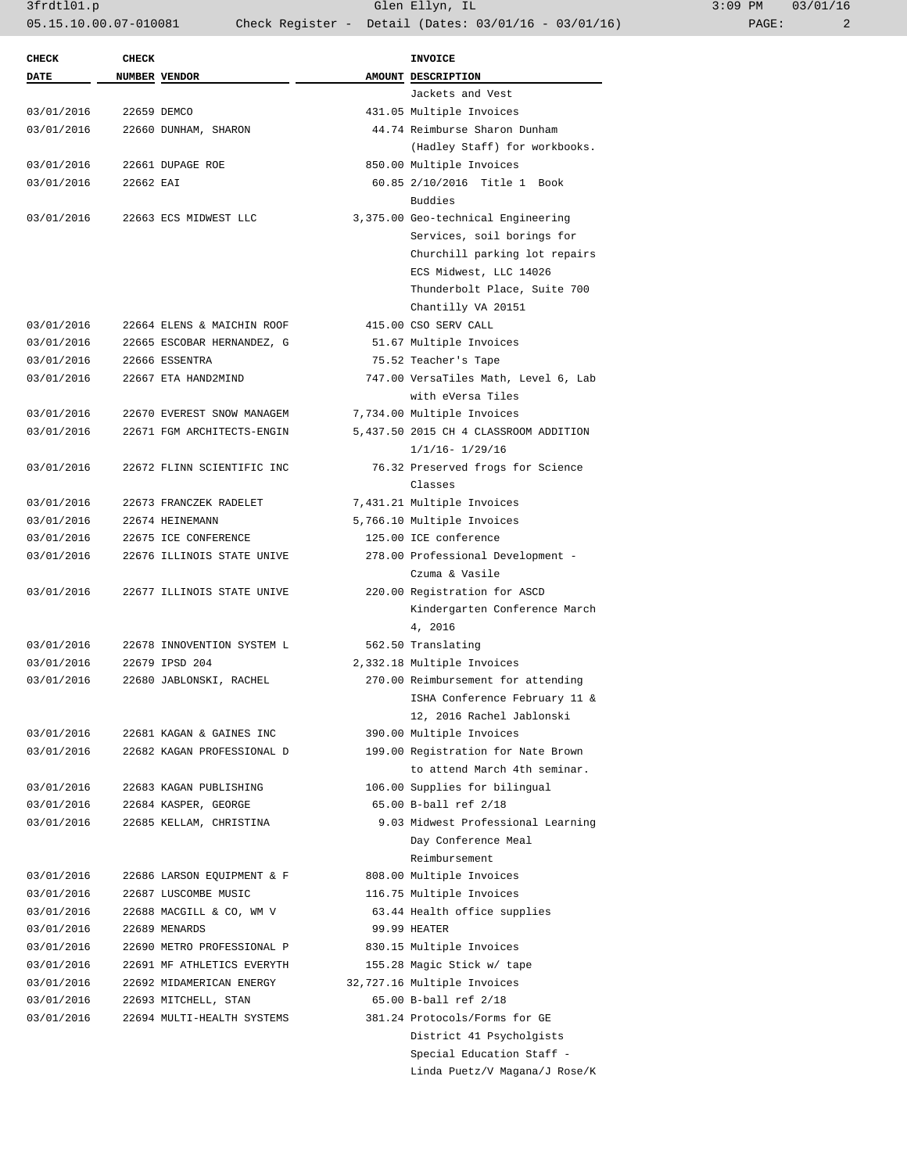3frdtl01.p Glen Ellyn, IL 3:09 PM 03/01/16 05.15.10.00.07-010081 Check Register - Detail (Dates: 03/01/16 - 03/01/16)

| <b>CHECK</b> | <b>CHECK</b> |                                                          | <b>INVOICE</b>                        |
|--------------|--------------|----------------------------------------------------------|---------------------------------------|
| <b>DATE</b>  |              | NUMBER VENDOR                                            | AMOUNT DESCRIPTION                    |
|              |              |                                                          | Jackets and Vest                      |
| 03/01/2016   |              | 22659 DEMCO                                              | 431.05 Multiple Invoices              |
| 03/01/2016   |              | 22660 DUNHAM, SHARON                                     | 44.74 Reimburse Sharon Dunham         |
|              |              |                                                          | (Hadley Staff) for workbooks.         |
| 03/01/2016   |              | 22661 DUPAGE ROE                                         | 850.00 Multiple Invoices              |
| 03/01/2016   | 22662 EAI    |                                                          | 60.85 2/10/2016 Title 1 Book          |
|              |              |                                                          | Buddies                               |
| 03/01/2016   |              | 22663 ECS MIDWEST LLC                                    | 3,375.00 Geo-technical Engineering    |
|              |              |                                                          | Services, soil borings for            |
|              |              |                                                          | Churchill parking lot repairs         |
|              |              |                                                          | ECS Midwest, LLC 14026                |
|              |              |                                                          | Thunderbolt Place, Suite 700          |
|              |              |                                                          | Chantilly VA 20151                    |
| 03/01/2016   |              | 22664 ELENS & MAICHIN ROOF                               | 415.00 CSO SERV CALL                  |
| 03/01/2016   |              | 22665 ESCOBAR HERNANDEZ, G                               | 51.67 Multiple Invoices               |
| 03/01/2016   |              | 22666 ESSENTRA                                           | 75.52 Teacher's Tape                  |
| 03/01/2016   |              | 22667 ETA HAND2MIND                                      | 747.00 VersaTiles Math, Level 6, Lab  |
|              |              |                                                          | with eVersa Tiles                     |
| 03/01/2016   |              |                                                          |                                       |
| 03/01/2016   |              | 22670 EVEREST SNOW MANAGEM<br>22671 FGM ARCHITECTS-ENGIN | 7,734.00 Multiple Invoices            |
|              |              |                                                          | 5,437.50 2015 CH 4 CLASSROOM ADDITION |
| 03/01/2016   |              |                                                          | $1/1/16 - 1/29/16$                    |
|              |              | 22672 FLINN SCIENTIFIC INC                               | 76.32 Preserved frogs for Science     |
|              |              |                                                          | Classes                               |
| 03/01/2016   |              | 22673 FRANCZEK RADELET                                   | 7,431.21 Multiple Invoices            |
| 03/01/2016   |              | 22674 HEINEMANN                                          | 5,766.10 Multiple Invoices            |
| 03/01/2016   |              | 22675 ICE CONFERENCE                                     | 125.00 ICE conference                 |
| 03/01/2016   |              | 22676 ILLINOIS STATE UNIVE                               | 278.00 Professional Development -     |
|              |              |                                                          | Czuma & Vasile                        |
| 03/01/2016   |              | 22677 ILLINOIS STATE UNIVE                               | 220.00 Registration for ASCD          |
|              |              |                                                          | Kindergarten Conference March         |
|              |              |                                                          | 4, 2016                               |
| 03/01/2016   |              | 22678 INNOVENTION SYSTEM L                               | 562.50 Translating                    |
| 03/01/2016   |              | 22679 IPSD 204                                           | 2,332.18 Multiple Invoices            |
| 03/01/2016   |              | 22680 JABLONSKI, RACHEL                                  | 270.00 Reimbursement for attending    |
|              |              |                                                          | ISHA Conference February 11 &         |
|              |              |                                                          | 12, 2016 Rachel Jablonski             |
| 03/01/2016   |              | 22681 KAGAN & GAINES INC                                 | 390.00 Multiple Invoices              |
| 03/01/2016   |              | 22682 KAGAN PROFESSIONAL D                               | 199.00 Registration for Nate Brown    |
|              |              |                                                          | to attend March 4th seminar.          |
| 03/01/2016   |              | 22683 KAGAN PUBLISHING                                   | 106.00 Supplies for bilingual         |
| 03/01/2016   |              | 22684 KASPER, GEORGE                                     | 65.00 B-ball ref 2/18                 |
| 03/01/2016   |              | 22685 KELLAM, CHRISTINA                                  | 9.03 Midwest Professional Learning    |
|              |              |                                                          | Day Conference Meal                   |
|              |              |                                                          | Reimbursement                         |
| 03/01/2016   |              | 22686 LARSON EQUIPMENT & F                               | 808.00 Multiple Invoices              |
| 03/01/2016   |              | 22687 LUSCOMBE MUSIC                                     | 116.75 Multiple Invoices              |
| 03/01/2016   |              | 22688 MACGILL & CO, WM V                                 | 63.44 Health office supplies          |
| 03/01/2016   |              | 22689 MENARDS                                            | 99.99 HEATER                          |
| 03/01/2016   |              | 22690 METRO PROFESSIONAL P                               | 830.15 Multiple Invoices              |
| 03/01/2016   |              | 22691 MF ATHLETICS EVERYTH                               | 155.28 Magic Stick w/ tape            |
| 03/01/2016   |              | 22692 MIDAMERICAN ENERGY                                 | 32,727.16 Multiple Invoices           |
| 03/01/2016   |              | 22693 MITCHELL, STAN                                     | 65.00 B-ball ref 2/18                 |
| 03/01/2016   |              | 22694 MULTI-HEALTH SYSTEMS                               | 381.24 Protocols/Forms for GE         |
|              |              |                                                          | District 41 Psycholgists              |
|              |              |                                                          | Special Education Staff -             |
|              |              |                                                          | Linda Puetz/V Magana/J Rose/K         |
|              |              |                                                          |                                       |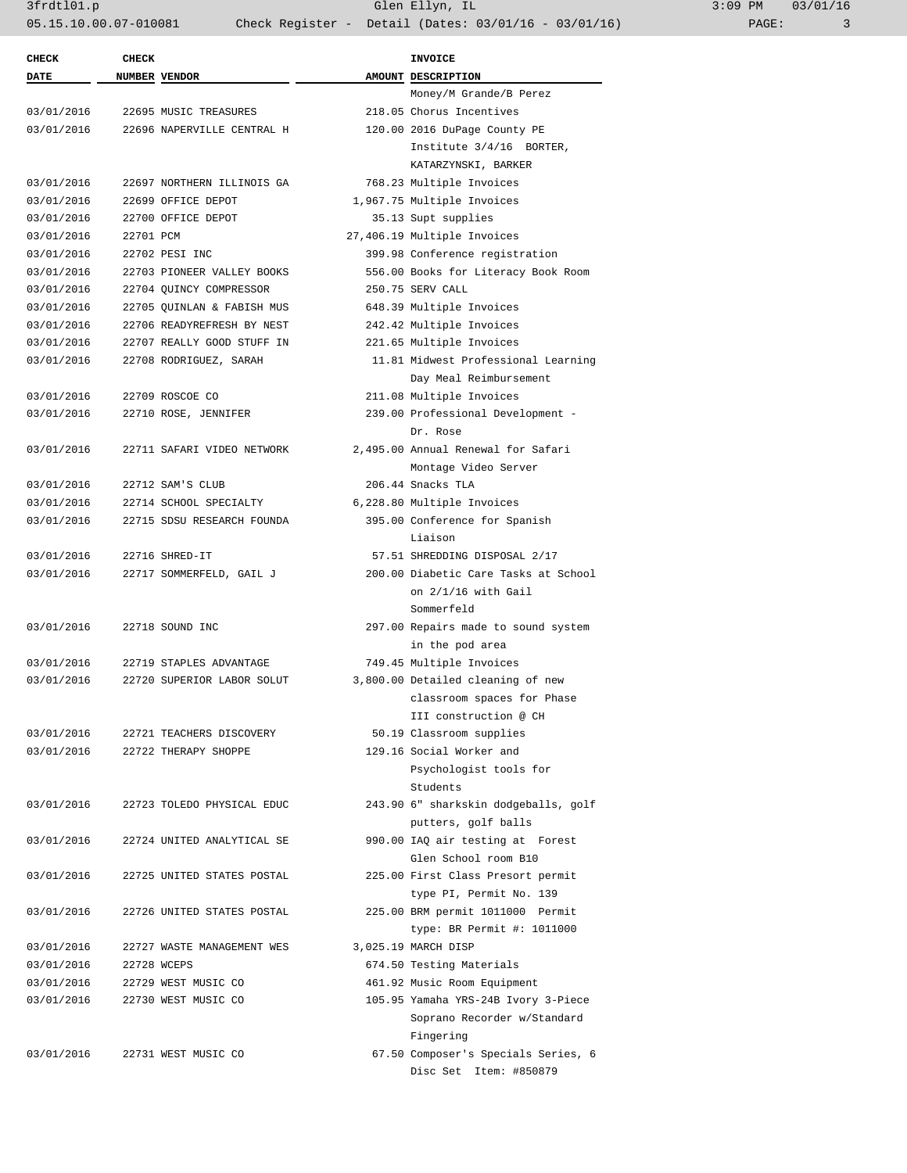3frdtl01.p Glen Ellyn, IL 3:09 PM 03/01/16 05.15.10.00.07-010081 Check Register - Detail (Dates: 03/01/16 - 03/01/16) PAGE: 3

| <b>CHECK</b> | <b>CHECK</b> |                            | <b>INVOICE</b>                       |
|--------------|--------------|----------------------------|--------------------------------------|
| DATE         |              | NUMBER VENDOR              | AMOUNT DESCRIPTION                   |
|              |              |                            | Money/M Grande/B Perez               |
| 03/01/2016   |              | 22695 MUSIC TREASURES      | 218.05 Chorus Incentives             |
| 03/01/2016   |              | 22696 NAPERVILLE CENTRAL H | 120.00 2016 DuPage County PE         |
|              |              |                            | Institute 3/4/16 BORTER,             |
|              |              |                            | KATARZYNSKI, BARKER                  |
| 03/01/2016   |              | 22697 NORTHERN ILLINOIS GA | 768.23 Multiple Invoices             |
| 03/01/2016   |              | 22699 OFFICE DEPOT         | 1,967.75 Multiple Invoices           |
| 03/01/2016   |              | 22700 OFFICE DEPOT         | 35.13 Supt supplies                  |
| 03/01/2016   | 22701 PCM    |                            | 27,406.19 Multiple Invoices          |
| 03/01/2016   |              | 22702 PESI INC             | 399.98 Conference registration       |
| 03/01/2016   |              | 22703 PIONEER VALLEY BOOKS | 556.00 Books for Literacy Book Room  |
| 03/01/2016   |              | 22704 QUINCY COMPRESSOR    | 250.75 SERV CALL                     |
| 03/01/2016   |              | 22705 QUINLAN & FABISH MUS | 648.39 Multiple Invoices             |
| 03/01/2016   |              | 22706 READYREFRESH BY NEST | 242.42 Multiple Invoices             |
| 03/01/2016   |              | 22707 REALLY GOOD STUFF IN | 221.65 Multiple Invoices             |
| 03/01/2016   |              | 22708 RODRIGUEZ, SARAH     | 11.81 Midwest Professional Learning  |
|              |              |                            | Day Meal Reimbursement               |
| 03/01/2016   |              | 22709 ROSCOE CO            | 211.08 Multiple Invoices             |
| 03/01/2016   |              | 22710 ROSE, JENNIFER       | 239.00 Professional Development -    |
|              |              |                            | Dr. Rose                             |
| 03/01/2016   |              | 22711 SAFARI VIDEO NETWORK | 2,495.00 Annual Renewal for Safari   |
|              |              |                            | Montage Video Server                 |
| 03/01/2016   |              | 22712 SAM'S CLUB           | 206.44 Snacks TLA                    |
| 03/01/2016   |              | 22714 SCHOOL SPECIALTY     | 6,228.80 Multiple Invoices           |
| 03/01/2016   |              | 22715 SDSU RESEARCH FOUNDA | 395.00 Conference for Spanish        |
|              |              |                            | Liaison                              |
| 03/01/2016   |              | 22716 SHRED-IT             | 57.51 SHREDDING DISPOSAL 2/17        |
| 03/01/2016   |              | 22717 SOMMERFELD, GAIL J   | 200.00 Diabetic Care Tasks at School |
|              |              |                            | on $2/1/16$ with Gail                |
|              |              |                            | Sommerfeld                           |
| 03/01/2016   |              | 22718 SOUND INC            | 297.00 Repairs made to sound system  |
|              |              |                            | in the pod area                      |
|              |              |                            |                                      |
| 03/01/2016   |              | 22719 STAPLES ADVANTAGE    | 749.45 Multiple Invoices             |
| 03/01/2016   |              | 22720 SUPERIOR LABOR SOLUT | 3,800.00 Detailed cleaning of new    |
|              |              |                            | classroom spaces for Phase           |
|              |              |                            | III construction @ CH                |
| 03/01/2016   |              | 22721 TEACHERS DISCOVERY   | 50.19 Classroom supplies             |
| 03/01/2016   |              | 22722 THERAPY SHOPPE       | 129.16 Social Worker and             |
|              |              |                            | Psychologist tools for               |
|              |              |                            | Students                             |
| 03/01/2016   |              | 22723 TOLEDO PHYSICAL EDUC | 243.90 6" sharkskin dodgeballs, golf |
|              |              |                            | putters, golf balls                  |
| 03/01/2016   |              | 22724 UNITED ANALYTICAL SE | 990.00 IAQ air testing at Forest     |
|              |              |                            | Glen School room B10                 |
| 03/01/2016   |              | 22725 UNITED STATES POSTAL | 225.00 First Class Presort permit    |
|              |              |                            | type PI, Permit No. 139              |
| 03/01/2016   |              | 22726 UNITED STATES POSTAL | 225.00 BRM permit 1011000 Permit     |
|              |              |                            | type: BR Permit #: 1011000           |
| 03/01/2016   |              | 22727 WASTE MANAGEMENT WES | 3,025.19 MARCH DISP                  |
| 03/01/2016   |              | 22728 WCEPS                | 674.50 Testing Materials             |
| 03/01/2016   |              | 22729 WEST MUSIC CO        | 461.92 Music Room Equipment          |
| 03/01/2016   |              | 22730 WEST MUSIC CO        | 105.95 Yamaha YRS-24B Ivory 3-Piece  |
|              |              |                            | Soprano Recorder w/Standard          |
|              |              |                            | Fingering                            |
| 03/01/2016   |              | 22731 WEST MUSIC CO        | 67.50 Composer's Specials Series, 6  |
|              |              |                            | Disc Set Item: #850879               |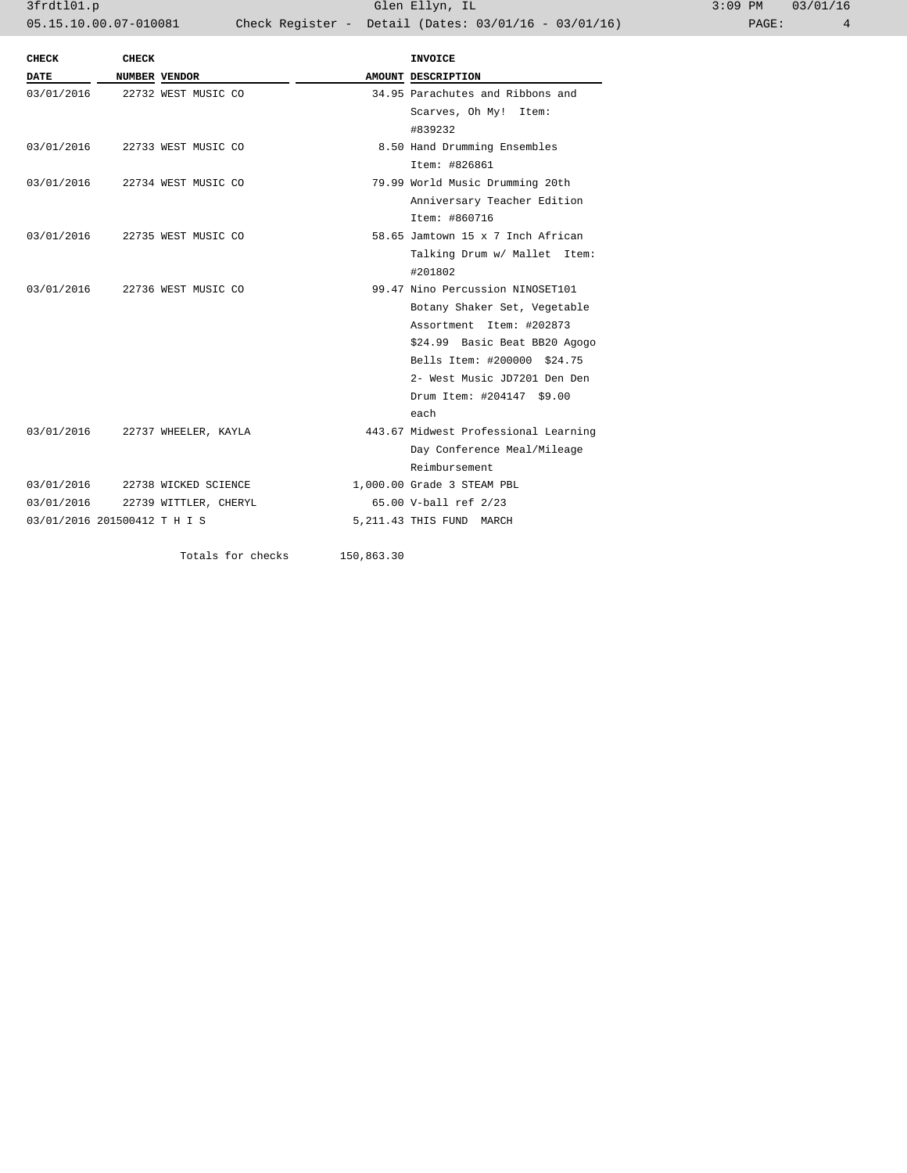3frdtl01.p Glen Ellyn, IL 3:09 PM 03/01/16 05.15.10.00.07-010081 Check Register - Detail (Dates: 03/01/16 - 03/01/16) PAGE: 4

|             |                              |                       |            | <b>INVOICE</b>                       |
|-------------|------------------------------|-----------------------|------------|--------------------------------------|
| <b>DATE</b> |                              | NUMBER VENDOR         |            | AMOUNT DESCRIPTION                   |
| 03/01/2016  |                              | 22732 WEST MUSIC CO   |            | 34.95 Parachutes and Ribbons and     |
|             |                              |                       |            | Scarves, Oh My! Item:                |
|             |                              |                       |            | #839232                              |
| 03/01/2016  |                              | 22733 WEST MUSIC CO   |            | 8.50 Hand Drumming Ensembles         |
|             |                              |                       |            | Item: #826861                        |
| 03/01/2016  |                              | 22734 WEST MUSIC CO   |            | 79.99 World Music Drumming 20th      |
|             |                              |                       |            | Anniversary Teacher Edition          |
|             |                              |                       |            | Item: #860716                        |
| 03/01/2016  |                              | 22735 WEST MUSIC CO   |            | 58.65 Jamtown 15 x 7 Inch African    |
|             |                              |                       |            | Talking Drum w/ Mallet Item:         |
|             |                              |                       |            | #201802                              |
| 03/01/2016  |                              | 22736 WEST MUSIC CO   |            | 99.47 Nino Percussion NINOSET101     |
|             |                              |                       |            | Botany Shaker Set, Vegetable         |
|             |                              |                       |            | Assortment Item: #202873             |
|             |                              |                       |            | \$24.99 Basic Beat BB20 Agogo        |
|             |                              |                       |            | Bells Item: #200000 \$24.75          |
|             |                              |                       |            | 2- West Music JD7201 Den Den         |
|             |                              |                       |            | Drum Item: #204147 \$9.00            |
|             |                              |                       |            | each                                 |
| 03/01/2016  |                              | 22737 WHEELER, KAYLA  |            | 443.67 Midwest Professional Learning |
|             |                              |                       |            | Day Conference Meal/Mileage          |
|             |                              |                       |            | Reimbursement                        |
| 03/01/2016  |                              | 22738 WICKED SCIENCE  |            | 1,000.00 Grade 3 STEAM PBL           |
| 03/01/2016  |                              | 22739 WITTLER, CHERYL |            | 65.00 V-ball ref 2/23                |
|             | 03/01/2016 201500412 T H I S |                       |            | 5, 211.43 THIS FUND MARCH            |
|             |                              | Totals for checks     | 150,863.30 |                                      |